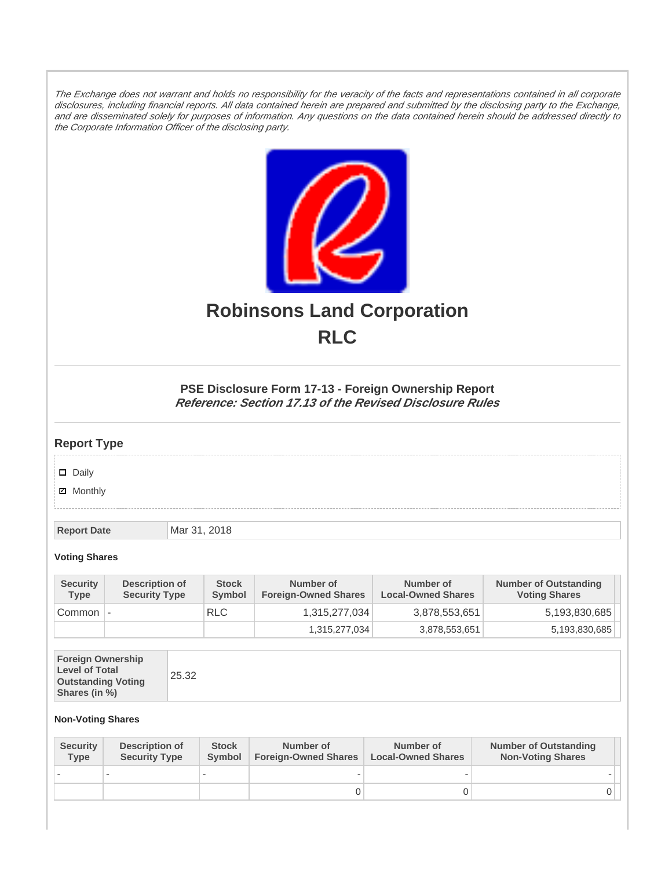The Exchange does not warrant and holds no responsibility for the veracity of the facts and representations contained in all corporate disclosures, including financial reports. All data contained herein are prepared and submitted by the disclosing party to the Exchange, and are disseminated solely for purposes of information. Any questions on the data contained herein should be addressed directly to the Corporate Information Officer of the disclosing party.



# **Robinsons Land Corporation RLC**

## **PSE Disclosure Form 17-13 - Foreign Ownership Report Reference: Section 17.13 of the Revised Disclosure Rules**

## **Report Type**

Daily

**Ø** Monthly

**Report Date Mar 31, 2018** 

#### **Voting Shares**

| <b>Security</b><br><b>Type</b> | Description of<br><b>Security Type</b> | <b>Stock</b><br>Symbol | Number of<br><b>Foreign-Owned Shares</b> | Number of<br><b>Local-Owned Shares</b> | <b>Number of Outstanding</b><br><b>Voting Shares</b> |
|--------------------------------|----------------------------------------|------------------------|------------------------------------------|----------------------------------------|------------------------------------------------------|
| Common                         | $\overline{\phantom{a}}$               | <b>RLC</b>             | 1,315,277,034                            | 3,878,553,651                          | 5,193,830,685                                        |
|                                |                                        |                        | 1,315,277,034                            | 3,878,553,651                          | 5,193,830,685                                        |

|--|--|

### **Non-Voting Shares**

| <b>Security</b><br>Type | Description of<br><b>Security Type</b> | <b>Stock</b><br>Symbol | Number of<br><b>Foreign-Owned Shares</b> | Number of<br><b>Local-Owned Shares</b> | <b>Number of Outstanding</b><br><b>Non-Voting Shares</b> |
|-------------------------|----------------------------------------|------------------------|------------------------------------------|----------------------------------------|----------------------------------------------------------|
|                         |                                        |                        |                                          |                                        |                                                          |
|                         |                                        |                        |                                          |                                        |                                                          |